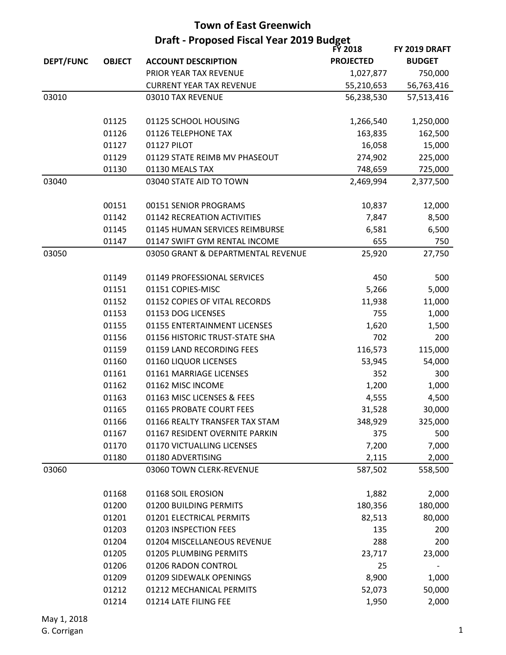| Draft - Proposed Fiscal Year 2019 Budget<br><b>FY 2018</b> |               |                                    |                  | FY 2019 DRAFT   |
|------------------------------------------------------------|---------------|------------------------------------|------------------|-----------------|
| <b>DEPT/FUNC</b>                                           | <b>OBJECT</b> | <b>ACCOUNT DESCRIPTION</b>         | <b>PROJECTED</b> | <b>BUDGET</b>   |
|                                                            |               | PRIOR YEAR TAX REVENUE             | 1,027,877        | 750,000         |
|                                                            |               | <b>CURRENT YEAR TAX REVENUE</b>    | 55,210,653       | 56,763,416      |
| 03010                                                      |               | 03010 TAX REVENUE                  | 56,238,530       | 57,513,416      |
|                                                            |               |                                    |                  |                 |
|                                                            | 01125         | 01125 SCHOOL HOUSING               | 1,266,540        | 1,250,000       |
|                                                            | 01126         | 01126 TELEPHONE TAX                | 163,835          | 162,500         |
|                                                            | 01127         | 01127 PILOT                        | 16,058           | 15,000          |
|                                                            | 01129         | 01129 STATE REIMB MV PHASEOUT      | 274,902          | 225,000         |
|                                                            | 01130         | 01130 MEALS TAX                    | 748,659          | 725,000         |
| 03040                                                      |               | 03040 STATE AID TO TOWN            | 2,469,994        | 2,377,500       |
|                                                            | 00151         | 00151 SENIOR PROGRAMS              |                  |                 |
|                                                            | 01142         | 01142 RECREATION ACTIVITIES        | 10,837<br>7,847  | 12,000<br>8,500 |
|                                                            | 01145         | 01145 HUMAN SERVICES REIMBURSE     | 6,581            | 6,500           |
|                                                            | 01147         | 01147 SWIFT GYM RENTAL INCOME      | 655              | 750             |
| 03050                                                      |               | 03050 GRANT & DEPARTMENTAL REVENUE | 25,920           | 27,750          |
|                                                            |               |                                    |                  |                 |
|                                                            | 01149         | 01149 PROFESSIONAL SERVICES        | 450              | 500             |
|                                                            | 01151         | 01151 COPIES-MISC                  | 5,266            | 5,000           |
|                                                            | 01152         | 01152 COPIES OF VITAL RECORDS      | 11,938           | 11,000          |
|                                                            | 01153         | 01153 DOG LICENSES                 | 755              | 1,000           |
|                                                            | 01155         | 01155 ENTERTAINMENT LICENSES       | 1,620            | 1,500           |
|                                                            | 01156         | 01156 HISTORIC TRUST-STATE SHA     | 702              | 200             |
|                                                            | 01159         | 01159 LAND RECORDING FEES          | 116,573          | 115,000         |
|                                                            | 01160         | 01160 LIQUOR LICENSES              | 53,945           | 54,000          |
|                                                            | 01161         | 01161 MARRIAGE LICENSES            | 352              | 300             |
|                                                            | 01162         | 01162 MISC INCOME                  | 1,200            | 1,000           |
|                                                            | 01163         | 01163 MISC LICENSES & FEES         | 4,555            | 4,500           |
|                                                            | 01165         | 01165 PROBATE COURT FEES           | 31,528           | 30,000          |
|                                                            | 01166         | 01166 REALTY TRANSFER TAX STAM     | 348,929          | 325,000         |
|                                                            | 01167         | 01167 RESIDENT OVERNITE PARKIN     | 375              | 500             |
|                                                            | 01170         | 01170 VICTUALLING LICENSES         | 7,200            | 7,000           |
|                                                            | 01180         | 01180 ADVERTISING                  | 2,115            | 2,000           |
| 03060                                                      |               | 03060 TOWN CLERK-REVENUE           | 587,502          | 558,500         |
|                                                            | 01168         | 01168 SOIL EROSION                 | 1,882            | 2,000           |
|                                                            | 01200         | 01200 BUILDING PERMITS             | 180,356          | 180,000         |
|                                                            | 01201         | 01201 ELECTRICAL PERMITS           | 82,513           | 80,000          |
|                                                            | 01203         | 01203 INSPECTION FEES              | 135              | 200             |
|                                                            | 01204         | 01204 MISCELLANEOUS REVENUE        | 288              | 200             |
|                                                            | 01205         | 01205 PLUMBING PERMITS             | 23,717           | 23,000          |
|                                                            | 01206         | 01206 RADON CONTROL                | 25               |                 |
|                                                            | 01209         | 01209 SIDEWALK OPENINGS            | 8,900            | 1,000           |
|                                                            | 01212         | 01212 MECHANICAL PERMITS           | 52,073           | 50,000          |
|                                                            | 01214         | 01214 LATE FILING FEE              | 1,950            | 2,000           |
|                                                            |               |                                    |                  |                 |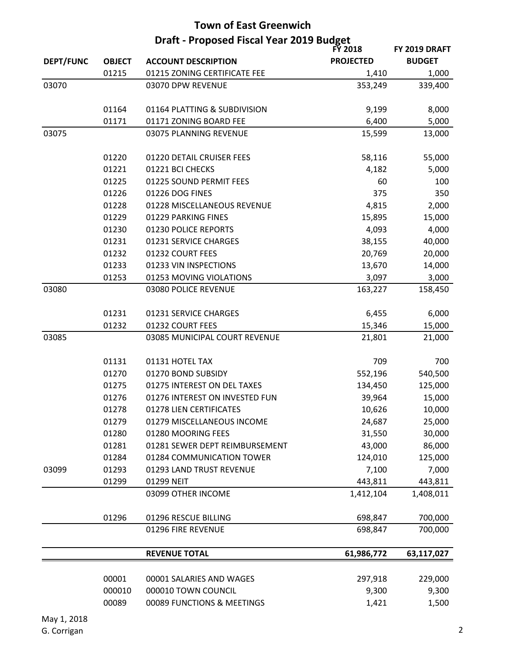| <b>Town of East Greenwich</b> |                                          |                                |                  |               |  |
|-------------------------------|------------------------------------------|--------------------------------|------------------|---------------|--|
|                               | Draft - Proposed Fiscal Year 2019 Budget |                                |                  |               |  |
|                               |                                          |                                | <b>FY 2018</b>   | FY 2019 DRAFT |  |
| <b>DEPT/FUNC</b>              | <b>OBJECT</b>                            | <b>ACCOUNT DESCRIPTION</b>     | <b>PROJECTED</b> | <b>BUDGET</b> |  |
|                               | 01215                                    | 01215 ZONING CERTIFICATE FEE   | 1,410            | 1,000         |  |
| 03070                         |                                          | 03070 DPW REVENUE              | 353,249          | 339,400       |  |
|                               | 01164                                    | 01164 PLATTING & SUBDIVISION   | 9,199            | 8,000         |  |
|                               | 01171                                    | 01171 ZONING BOARD FEE         | 6,400            | 5,000         |  |
| 03075                         |                                          | 03075 PLANNING REVENUE         | 15,599           | 13,000        |  |
|                               | 01220                                    | 01220 DETAIL CRUISER FEES      | 58,116           | 55,000        |  |
|                               | 01221                                    | 01221 BCI CHECKS               | 4,182            | 5,000         |  |
|                               | 01225                                    | 01225 SOUND PERMIT FEES        | 60               | 100           |  |
|                               | 01226                                    | 01226 DOG FINES                | 375              | 350           |  |
|                               | 01228                                    | 01228 MISCELLANEOUS REVENUE    | 4,815            | 2,000         |  |
|                               | 01229                                    | 01229 PARKING FINES            | 15,895           | 15,000        |  |
|                               | 01230                                    | 01230 POLICE REPORTS           | 4,093            | 4,000         |  |
|                               | 01231                                    | 01231 SERVICE CHARGES          | 38,155           | 40,000        |  |
|                               | 01232                                    | 01232 COURT FEES               | 20,769           | 20,000        |  |
|                               | 01233                                    | 01233 VIN INSPECTIONS          | 13,670           | 14,000        |  |
|                               | 01253                                    | 01253 MOVING VIOLATIONS        | 3,097            | 3,000         |  |
| 03080                         |                                          | 03080 POLICE REVENUE           | 163,227          | 158,450       |  |
|                               |                                          |                                |                  |               |  |
|                               | 01231                                    | 01231 SERVICE CHARGES          | 6,455            | 6,000         |  |
|                               | 01232                                    | 01232 COURT FEES               | 15,346           | 15,000        |  |
| 03085                         |                                          | 03085 MUNICIPAL COURT REVENUE  | 21,801           | 21,000        |  |
|                               | 01131                                    | 01131 HOTEL TAX                | 709              | 700           |  |
|                               | 01270                                    | 01270 BOND SUBSIDY             | 552,196          | 540,500       |  |
|                               | 01275                                    | 01275 INTEREST ON DEL TAXES    | 134,450          | 125,000       |  |
|                               | 01276                                    | 01276 INTEREST ON INVESTED FUN | 39,964           | 15,000        |  |
|                               | 01278                                    | 01278 LIEN CERTIFICATES        | 10,626           | 10,000        |  |
|                               | 01279                                    | 01279 MISCELLANEOUS INCOME     | 24,687           | 25,000        |  |
|                               | 01280                                    | 01280 MOORING FEES             | 31,550           | 30,000        |  |
|                               | 01281                                    | 01281 SEWER DEPT REIMBURSEMENT | 43,000           | 86,000        |  |
|                               | 01284                                    | 01284 COMMUNICATION TOWER      | 124,010          | 125,000       |  |
| 03099                         | 01293                                    | 01293 LAND TRUST REVENUE       | 7,100            | 7,000         |  |
|                               | 01299                                    | 01299 NEIT                     | 443,811          | 443,811       |  |
|                               |                                          | 03099 OTHER INCOME             | 1,412,104        | 1,408,011     |  |
|                               | 01296                                    | 01296 RESCUE BILLING           | 698,847          | 700,000       |  |
|                               |                                          | 01296 FIRE REVENUE             | 698,847          | 700,000       |  |
|                               |                                          | <b>REVENUE TOTAL</b>           | 61,986,772       | 63,117,027    |  |
|                               |                                          |                                |                  |               |  |
|                               | 00001                                    | 00001 SALARIES AND WAGES       | 297,918          | 229,000       |  |
|                               | 000010                                   | 000010 TOWN COUNCIL            | 9,300            | 9,300         |  |
|                               | 00089                                    | 00089 FUNCTIONS & MEETINGS     | 1,421            | 1,500         |  |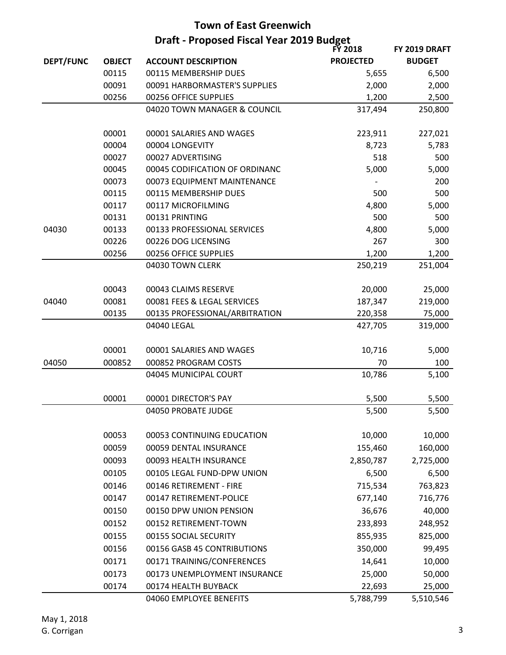|                  | <b>Draft - Proposed Fiscal Year 2019 Budget</b><br><b>FY 2018</b> |                                |                  |                                |  |
|------------------|-------------------------------------------------------------------|--------------------------------|------------------|--------------------------------|--|
| <b>DEPT/FUNC</b> | <b>OBJECT</b>                                                     | <b>ACCOUNT DESCRIPTION</b>     | <b>PROJECTED</b> | FY 2019 DRAFT<br><b>BUDGET</b> |  |
|                  | 00115                                                             | 00115 MEMBERSHIP DUES          | 5,655            | 6,500                          |  |
|                  | 00091                                                             | 00091 HARBORMASTER'S SUPPLIES  | 2,000            | 2,000                          |  |
|                  | 00256                                                             | 00256 OFFICE SUPPLIES          | 1,200            | 2,500                          |  |
|                  |                                                                   | 04020 TOWN MANAGER & COUNCIL   | 317,494          | 250,800                        |  |
|                  |                                                                   |                                |                  |                                |  |
|                  | 00001                                                             | 00001 SALARIES AND WAGES       | 223,911          | 227,021                        |  |
|                  | 00004                                                             | 00004 LONGEVITY                | 8,723            | 5,783                          |  |
|                  | 00027                                                             | 00027 ADVERTISING              | 518              | 500                            |  |
|                  | 00045                                                             | 00045 CODIFICATION OF ORDINANC | 5,000            | 5,000                          |  |
|                  | 00073                                                             | 00073 EQUIPMENT MAINTENANCE    |                  | 200                            |  |
|                  | 00115                                                             | 00115 MEMBERSHIP DUES          | 500              | 500                            |  |
|                  | 00117                                                             | 00117 MICROFILMING             | 4,800            | 5,000                          |  |
|                  | 00131                                                             | 00131 PRINTING                 | 500              | 500                            |  |
| 04030            | 00133                                                             | 00133 PROFESSIONAL SERVICES    | 4,800            | 5,000                          |  |
|                  | 00226                                                             | 00226 DOG LICENSING            | 267              | 300                            |  |
|                  | 00256                                                             | 00256 OFFICE SUPPLIES          | 1,200            | 1,200                          |  |
|                  |                                                                   | 04030 TOWN CLERK               | 250,219          | 251,004                        |  |
|                  |                                                                   |                                |                  |                                |  |
|                  | 00043                                                             | 00043 CLAIMS RESERVE           | 20,000           | 25,000                         |  |
| 04040            | 00081                                                             | 00081 FEES & LEGAL SERVICES    | 187,347          | 219,000                        |  |
|                  | 00135                                                             | 00135 PROFESSIONAL/ARBITRATION | 220,358          | 75,000                         |  |
|                  |                                                                   | 04040 LEGAL                    | 427,705          | 319,000                        |  |
|                  |                                                                   |                                |                  |                                |  |
|                  | 00001                                                             | 00001 SALARIES AND WAGES       | 10,716           | 5,000                          |  |
| 04050            | 000852                                                            | 000852 PROGRAM COSTS           | 70               | 100                            |  |
|                  |                                                                   | 04045 MUNICIPAL COURT          | 10,786           | 5,100                          |  |
|                  |                                                                   |                                |                  |                                |  |
|                  | 00001                                                             | 00001 DIRECTOR'S PAY           | 5,500            | 5,500                          |  |
|                  |                                                                   | 04050 PROBATE JUDGE            | 5,500            | 5,500                          |  |
|                  | 00053                                                             | 00053 CONTINUING EDUCATION     | 10,000           | 10,000                         |  |
|                  | 00059                                                             | 00059 DENTAL INSURANCE         | 155,460          | 160,000                        |  |
|                  | 00093                                                             | 00093 HEALTH INSURANCE         | 2,850,787        | 2,725,000                      |  |
|                  | 00105                                                             | 00105 LEGAL FUND-DPW UNION     | 6,500            | 6,500                          |  |
|                  | 00146                                                             | 00146 RETIREMENT - FIRE        | 715,534          | 763,823                        |  |
|                  | 00147                                                             | 00147 RETIREMENT-POLICE        | 677,140          | 716,776                        |  |
|                  |                                                                   |                                |                  |                                |  |
|                  | 00150                                                             | 00150 DPW UNION PENSION        | 36,676           | 40,000                         |  |
|                  | 00152                                                             | 00152 RETIREMENT-TOWN          | 233,893          | 248,952                        |  |
|                  | 00155                                                             | 00155 SOCIAL SECURITY          | 855,935          | 825,000                        |  |
|                  | 00156                                                             | 00156 GASB 45 CONTRIBUTIONS    | 350,000          | 99,495                         |  |
|                  | 00171                                                             | 00171 TRAINING/CONFERENCES     | 14,641           | 10,000                         |  |
|                  | 00173                                                             | 00173 UNEMPLOYMENT INSURANCE   | 25,000           | 50,000                         |  |
|                  | 00174                                                             | 00174 HEALTH BUYBACK           | 22,693           | 25,000                         |  |
|                  |                                                                   | 04060 EMPLOYEE BENEFITS        | 5,788,799        | 5,510,546                      |  |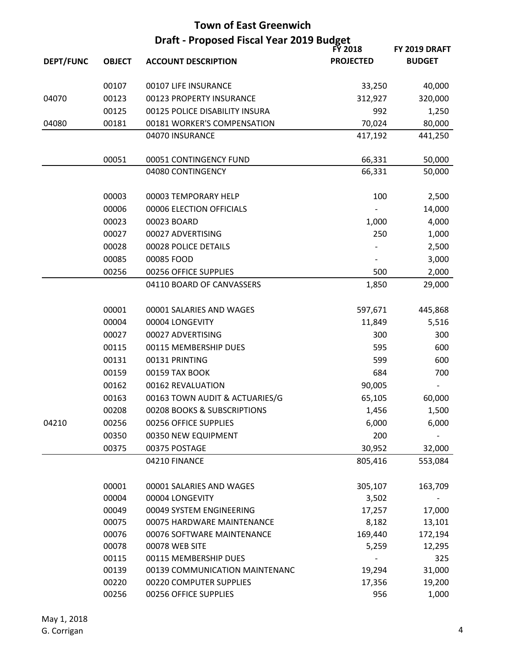| <b>Town of East Greenwich</b> |               |                                          |                  |               |
|-------------------------------|---------------|------------------------------------------|------------------|---------------|
|                               |               | Draft - Proposed Fiscal Year 2019 Budget |                  |               |
|                               |               |                                          | <b>FY 2018</b>   | FY 2019 DRAFT |
| <b>DEPT/FUNC</b>              | <b>OBJECT</b> | <b>ACCOUNT DESCRIPTION</b>               | <b>PROJECTED</b> | <b>BUDGET</b> |
|                               | 00107         | 00107 LIFE INSURANCE                     | 33,250           | 40,000        |
| 04070                         | 00123         | 00123 PROPERTY INSURANCE                 | 312,927          | 320,000       |
|                               | 00125         | 00125 POLICE DISABILITY INSURA           | 992              | 1,250         |
| 04080                         | 00181         | 00181 WORKER'S COMPENSATION              | 70,024           | 80,000        |
|                               |               | 04070 INSURANCE                          | 417,192          | 441,250       |
|                               | 00051         | 00051 CONTINGENCY FUND                   | 66,331           | 50,000        |
|                               |               | 04080 CONTINGENCY                        | 66,331           | 50,000        |
|                               | 00003         | 00003 TEMPORARY HELP                     | 100              | 2,500         |
|                               | 00006         | 00006 ELECTION OFFICIALS                 |                  | 14,000        |
|                               | 00023         | 00023 BOARD                              | 1,000            | 4,000         |
|                               | 00027         | 00027 ADVERTISING                        | 250              | 1,000         |
|                               | 00028         | 00028 POLICE DETAILS                     |                  | 2,500         |
|                               | 00085         | 00085 FOOD                               |                  | 3,000         |
|                               | 00256         | 00256 OFFICE SUPPLIES                    | 500              | 2,000         |
|                               |               | 04110 BOARD OF CANVASSERS                | 1,850            | 29,000        |
|                               | 00001         | 00001 SALARIES AND WAGES                 | 597,671          | 445,868       |
|                               | 00004         | 00004 LONGEVITY                          | 11,849           | 5,516         |
|                               | 00027         | 00027 ADVERTISING                        | 300              | 300           |
|                               | 00115         | 00115 MEMBERSHIP DUES                    | 595              | 600           |
|                               | 00131         | 00131 PRINTING                           | 599              | 600           |
|                               | 00159         | 00159 TAX BOOK                           | 684              | 700           |
|                               | 00162         | 00162 REVALUATION                        | 90,005           |               |
|                               | 00163         | 00163 TOWN AUDIT & ACTUARIES/G           | 65,105           | 60,000        |
|                               | 00208         | 00208 BOOKS & SUBSCRIPTIONS              | 1,456            | 1,500         |
| 04210                         | 00256         | 00256 OFFICE SUPPLIES                    | 6,000            | 6,000         |
|                               | 00350         | 00350 NEW EQUIPMENT                      | 200              |               |
|                               | 00375         | 00375 POSTAGE                            | 30,952           | 32,000        |
|                               |               | 04210 FINANCE                            | 805,416          | 553,084       |
|                               | 00001         | 00001 SALARIES AND WAGES                 | 305,107          | 163,709       |
|                               | 00004         | 00004 LONGEVITY                          | 3,502            |               |
|                               | 00049         | 00049 SYSTEM ENGINEERING                 | 17,257           | 17,000        |
|                               | 00075         | 00075 HARDWARE MAINTENANCE               | 8,182            | 13,101        |
|                               | 00076         | 00076 SOFTWARE MAINTENANCE               | 169,440          | 172,194       |
|                               | 00078         | 00078 WEB SITE                           | 5,259            | 12,295        |
|                               | 00115         | 00115 MEMBERSHIP DUES                    |                  | 325           |
|                               | 00139         | 00139 COMMUNICATION MAINTENANC           | 19,294           | 31,000        |
|                               | 00220         | 00220 COMPUTER SUPPLIES                  | 17,356           | 19,200        |
|                               | 00256         | 00256 OFFICE SUPPLIES                    | 956              | 1,000         |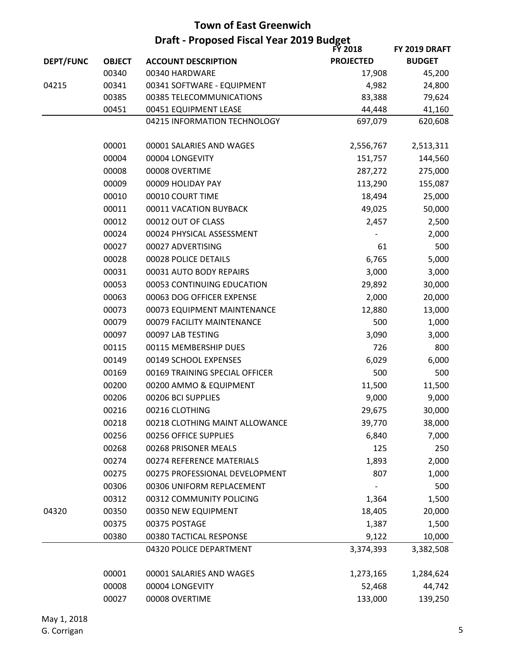| <b>Town of East Greenwich</b> |                                          |                                |                  |               |
|-------------------------------|------------------------------------------|--------------------------------|------------------|---------------|
|                               | Draft - Proposed Fiscal Year 2019 Budget |                                |                  |               |
|                               |                                          |                                | <b>FY 2018</b>   | FY 2019 DRAFT |
| <b>DEPT/FUNC</b>              | <b>OBJECT</b>                            | <b>ACCOUNT DESCRIPTION</b>     | <b>PROJECTED</b> | <b>BUDGET</b> |
|                               | 00340                                    | 00340 HARDWARE                 | 17,908           | 45,200        |
| 04215                         | 00341                                    | 00341 SOFTWARE - EQUIPMENT     | 4,982            | 24,800        |
|                               | 00385                                    | 00385 TELECOMMUNICATIONS       | 83,388           | 79,624        |
|                               | 00451                                    | 00451 EQUIPMENT LEASE          | 44,448           | 41,160        |
|                               |                                          | 04215 INFORMATION TECHNOLOGY   | 697,079          | 620,608       |
|                               | 00001                                    | 00001 SALARIES AND WAGES       | 2,556,767        | 2,513,311     |
|                               | 00004                                    | 00004 LONGEVITY                | 151,757          | 144,560       |
|                               | 00008                                    | 00008 OVERTIME                 | 287,272          | 275,000       |
|                               | 00009                                    | 00009 HOLIDAY PAY              | 113,290          | 155,087       |
|                               | 00010                                    | 00010 COURT TIME               | 18,494           | 25,000        |
|                               | 00011                                    | 00011 VACATION BUYBACK         | 49,025           | 50,000        |
|                               | 00012                                    | 00012 OUT OF CLASS             | 2,457            | 2,500         |
|                               | 00024                                    | 00024 PHYSICAL ASSESSMENT      |                  | 2,000         |
|                               | 00027                                    | 00027 ADVERTISING              | 61               | 500           |
|                               | 00028                                    | 00028 POLICE DETAILS           | 6,765            | 5,000         |
|                               | 00031                                    | 00031 AUTO BODY REPAIRS        | 3,000            | 3,000         |
|                               | 00053                                    | 00053 CONTINUING EDUCATION     | 29,892           | 30,000        |
|                               | 00063                                    | 00063 DOG OFFICER EXPENSE      | 2,000            | 20,000        |
|                               | 00073                                    | 00073 EQUIPMENT MAINTENANCE    | 12,880           | 13,000        |
|                               | 00079                                    | 00079 FACILITY MAINTENANCE     | 500              | 1,000         |
|                               | 00097                                    | 00097 LAB TESTING              | 3,090            | 3,000         |
|                               | 00115                                    | 00115 MEMBERSHIP DUES          | 726              | 800           |
|                               | 00149                                    | 00149 SCHOOL EXPENSES          | 6,029            | 6,000         |
|                               | 00169                                    | 00169 TRAINING SPECIAL OFFICER | 500              | 500           |
|                               | 00200                                    | 00200 AMMO & EQUIPMENT         | 11,500           | 11,500        |
|                               | 00206                                    | 00206 BCI SUPPLIES             | 9,000            | 9,000         |
|                               | 00216                                    | 00216 CLOTHING                 | 29,675           | 30,000        |
|                               | 00218                                    | 00218 CLOTHING MAINT ALLOWANCE | 39,770           | 38,000        |
|                               | 00256                                    | 00256 OFFICE SUPPLIES          | 6,840            | 7,000         |
|                               | 00268                                    | 00268 PRISONER MEALS           | 125              | 250           |
|                               | 00274                                    | 00274 REFERENCE MATERIALS      | 1,893            | 2,000         |
|                               | 00275                                    | 00275 PROFESSIONAL DEVELOPMENT | 807              | 1,000         |
|                               | 00306                                    | 00306 UNIFORM REPLACEMENT      |                  | 500           |
|                               | 00312                                    | 00312 COMMUNITY POLICING       | 1,364            | 1,500         |
| 04320                         | 00350                                    | 00350 NEW EQUIPMENT            | 18,405           | 20,000        |
|                               | 00375                                    | 00375 POSTAGE                  | 1,387            | 1,500         |
|                               | 00380                                    | 00380 TACTICAL RESPONSE        | 9,122            | 10,000        |
|                               |                                          | 04320 POLICE DEPARTMENT        | 3,374,393        | 3,382,508     |
|                               |                                          |                                |                  |               |
|                               | 00001                                    | 00001 SALARIES AND WAGES       | 1,273,165        | 1,284,624     |
|                               | 00008                                    | 00004 LONGEVITY                | 52,468           | 44,742        |
|                               | 00027                                    | 00008 OVERTIME                 | 133,000          | 139,250       |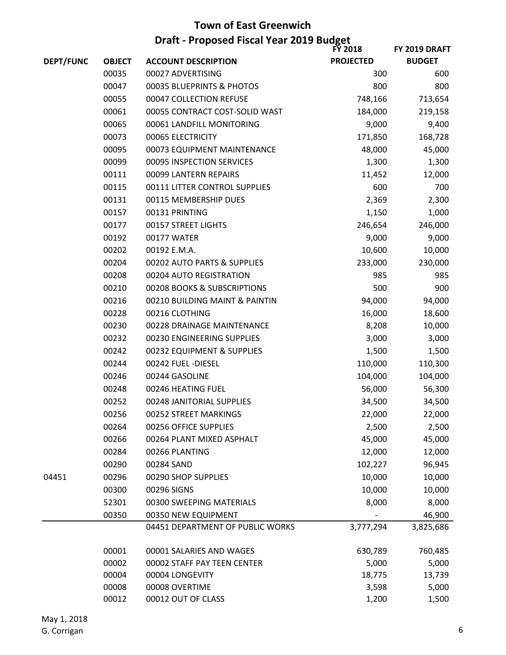|                  | <b>Draft - Proposed Fiscal Year 2019 Budget</b><br><b>FY 2018</b><br>FY 2019 DRAFT |                                  |                  |               |  |
|------------------|------------------------------------------------------------------------------------|----------------------------------|------------------|---------------|--|
| <b>DEPT/FUNC</b> | <b>OBJECT</b>                                                                      | <b>ACCOUNT DESCRIPTION</b>       | <b>PROJECTED</b> | <b>BUDGET</b> |  |
|                  | 00035                                                                              | 00027 ADVERTISING                | 300              | 600           |  |
|                  | 00047                                                                              | 00035 BLUEPRINTS & PHOTOS        | 800              | 800           |  |
|                  | 00055                                                                              | 00047 COLLECTION REFUSE          | 748,166          | 713,654       |  |
|                  | 00061                                                                              | 00055 CONTRACT COST-SOLID WAST   | 184,000          | 219,158       |  |
|                  | 00065                                                                              | 00061 LANDFILL MONITORING        | 9,000            | 9,400         |  |
|                  | 00073                                                                              | 00065 ELECTRICITY                | 171,850          | 168,728       |  |
|                  | 00095                                                                              | 00073 EQUIPMENT MAINTENANCE      | 48,000           | 45,000        |  |
|                  | 00099                                                                              | 00095 INSPECTION SERVICES        | 1,300            | 1,300         |  |
|                  | 00111                                                                              | 00099 LANTERN REPAIRS            | 11,452           | 12,000        |  |
|                  | 00115                                                                              | 00111 LITTER CONTROL SUPPLIES    | 600              | 700           |  |
|                  | 00131                                                                              | 00115 MEMBERSHIP DUES            | 2,369            | 2,300         |  |
|                  | 00157                                                                              | 00131 PRINTING                   | 1,150            | 1,000         |  |
|                  | 00177                                                                              | 00157 STREET LIGHTS              | 246,654          | 246,000       |  |
|                  | 00192                                                                              | 00177 WATER                      | 9,000            | 9,000         |  |
|                  | 00202                                                                              | 00192 E.M.A.                     | 10,600           | 10,000        |  |
|                  | 00204                                                                              | 00202 AUTO PARTS & SUPPLIES      | 233,000          | 230,000       |  |
|                  | 00208                                                                              | 00204 AUTO REGISTRATION          | 985              | 985           |  |
|                  | 00210                                                                              | 00208 BOOKS & SUBSCRIPTIONS      | 500              | 900           |  |
|                  | 00216                                                                              | 00210 BUILDING MAINT & PAINTIN   | 94,000           | 94,000        |  |
|                  | 00228                                                                              | 00216 CLOTHING                   | 16,000           | 18,600        |  |
|                  | 00230                                                                              | 00228 DRAINAGE MAINTENANCE       | 8,208            | 10,000        |  |
|                  | 00232                                                                              | 00230 ENGINEERING SUPPLIES       | 3,000            | 3,000         |  |
|                  | 00242                                                                              | 00232 EQUIPMENT & SUPPLIES       | 1,500            | 1,500         |  |
|                  | 00244                                                                              | 00242 FUEL -DIESEL               | 110,000          | 110,300       |  |
|                  | 00246                                                                              | 00244 GASOLINE                   | 104,000          | 104,000       |  |
|                  | 00248                                                                              | 00246 HEATING FUEL               | 56,000           | 56,300        |  |
|                  | 00252                                                                              | 00248 JANITORIAL SUPPLIES        | 34,500           | 34,500        |  |
|                  | 00256                                                                              | 00252 STREET MARKINGS            | 22,000           | 22,000        |  |
|                  | 00264                                                                              | 00256 OFFICE SUPPLIES            | 2,500            | 2,500         |  |
|                  | 00266                                                                              | 00264 PLANT MIXED ASPHALT        | 45,000           | 45,000        |  |
|                  | 00284                                                                              | 00266 PLANTING                   | 12,000           | 12,000        |  |
|                  | 00290                                                                              | 00284 SAND                       | 102,227          | 96,945        |  |
| 04451            | 00296                                                                              | 00290 SHOP SUPPLIES              | 10,000           | 10,000        |  |
|                  | 00300                                                                              | 00296 SIGNS                      | 10,000           | 10,000        |  |
|                  | 52301                                                                              | 00300 SWEEPING MATERIALS         | 8,000            | 8,000         |  |
|                  | 00350                                                                              | 00350 NEW EQUIPMENT              |                  | 46,900        |  |
|                  |                                                                                    | 04451 DEPARTMENT OF PUBLIC WORKS | 3,777,294        | 3,825,686     |  |
|                  | 00001                                                                              | 00001 SALARIES AND WAGES         | 630,789          | 760,485       |  |
|                  | 00002                                                                              | 00002 STAFF PAY TEEN CENTER      | 5,000            | 5,000         |  |
|                  | 00004                                                                              | 00004 LONGEVITY                  | 18,775           | 13,739        |  |
|                  | 00008                                                                              | 00008 OVERTIME                   | 3,598            | 5,000         |  |
|                  | 00012                                                                              | 00012 OUT OF CLASS               | 1,200            | 1,500         |  |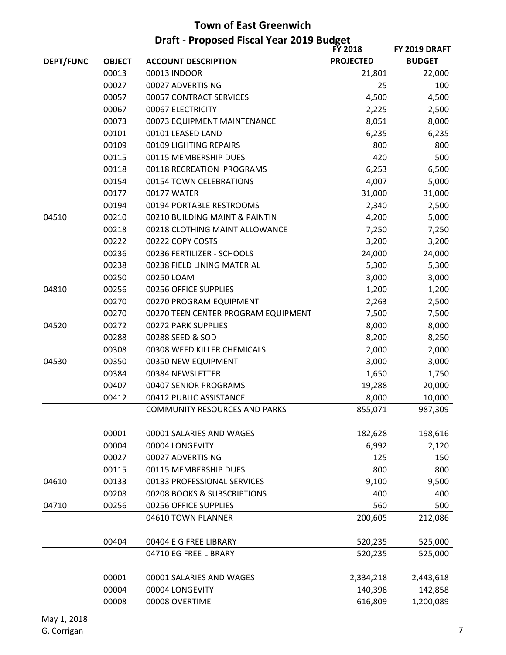|                  | <b>Draft - Proposed Fiscal Year 2019 Budget</b><br><b>FY 2018</b><br>FY 2019 DRAFT |                                      |                  |               |  |
|------------------|------------------------------------------------------------------------------------|--------------------------------------|------------------|---------------|--|
| <b>DEPT/FUNC</b> | <b>OBJECT</b>                                                                      | <b>ACCOUNT DESCRIPTION</b>           | <b>PROJECTED</b> | <b>BUDGET</b> |  |
|                  | 00013                                                                              | 00013 INDOOR                         | 21,801           | 22,000        |  |
|                  | 00027                                                                              | 00027 ADVERTISING                    | 25               | 100           |  |
|                  | 00057                                                                              | 00057 CONTRACT SERVICES              | 4,500            | 4,500         |  |
|                  | 00067                                                                              | 00067 ELECTRICITY                    | 2,225            | 2,500         |  |
|                  | 00073                                                                              | 00073 EQUIPMENT MAINTENANCE          | 8,051            | 8,000         |  |
|                  | 00101                                                                              | 00101 LEASED LAND                    | 6,235            | 6,235         |  |
|                  | 00109                                                                              | 00109 LIGHTING REPAIRS               | 800              | 800           |  |
|                  | 00115                                                                              | 00115 MEMBERSHIP DUES                | 420              | 500           |  |
|                  | 00118                                                                              | 00118 RECREATION PROGRAMS            | 6,253            | 6,500         |  |
|                  | 00154                                                                              | 00154 TOWN CELEBRATIONS              | 4,007            | 5,000         |  |
|                  | 00177                                                                              | 00177 WATER                          | 31,000           | 31,000        |  |
|                  | 00194                                                                              | 00194 PORTABLE RESTROOMS             | 2,340            | 2,500         |  |
| 04510            | 00210                                                                              | 00210 BUILDING MAINT & PAINTIN       | 4,200            | 5,000         |  |
|                  | 00218                                                                              | 00218 CLOTHING MAINT ALLOWANCE       | 7,250            | 7,250         |  |
|                  | 00222                                                                              | 00222 COPY COSTS                     | 3,200            | 3,200         |  |
|                  | 00236                                                                              | 00236 FERTILIZER - SCHOOLS           | 24,000           | 24,000        |  |
|                  | 00238                                                                              | 00238 FIELD LINING MATERIAL          | 5,300            | 5,300         |  |
|                  | 00250                                                                              | 00250 LOAM                           | 3,000            | 3,000         |  |
| 04810            | 00256                                                                              | 00256 OFFICE SUPPLIES                | 1,200            | 1,200         |  |
|                  | 00270                                                                              | 00270 PROGRAM EQUIPMENT              | 2,263            | 2,500         |  |
|                  | 00270                                                                              | 00270 TEEN CENTER PROGRAM EQUIPMENT  | 7,500            | 7,500         |  |
| 04520            | 00272                                                                              | 00272 PARK SUPPLIES                  | 8,000            | 8,000         |  |
|                  | 00288                                                                              | 00288 SEED & SOD                     | 8,200            | 8,250         |  |
|                  | 00308                                                                              | 00308 WEED KILLER CHEMICALS          | 2,000            | 2,000         |  |
| 04530            | 00350                                                                              | 00350 NEW EQUIPMENT                  | 3,000            | 3,000         |  |
|                  | 00384                                                                              | 00384 NEWSLETTER                     | 1,650            | 1,750         |  |
|                  | 00407                                                                              | 00407 SENIOR PROGRAMS                | 19,288           | 20,000        |  |
|                  | 00412                                                                              | 00412 PUBLIC ASSISTANCE              | 8,000            | 10,000        |  |
|                  |                                                                                    | <b>COMMUNITY RESOURCES AND PARKS</b> | 855,071          | 987,309       |  |
|                  | 00001                                                                              | 00001 SALARIES AND WAGES             | 182,628          | 198,616       |  |
|                  | 00004                                                                              | 00004 LONGEVITY                      | 6,992            | 2,120         |  |
|                  | 00027                                                                              | 00027 ADVERTISING                    | 125              | 150           |  |
|                  | 00115                                                                              | 00115 MEMBERSHIP DUES                | 800              | 800           |  |
| 04610            | 00133                                                                              | 00133 PROFESSIONAL SERVICES          | 9,100            | 9,500         |  |
|                  | 00208                                                                              | 00208 BOOKS & SUBSCRIPTIONS          | 400              | 400           |  |
| 04710            | 00256                                                                              | 00256 OFFICE SUPPLIES                | 560              | 500           |  |
|                  |                                                                                    | 04610 TOWN PLANNER                   | 200,605          | 212,086       |  |
|                  | 00404                                                                              | 00404 E G FREE LIBRARY               | 520,235          | 525,000       |  |
|                  |                                                                                    | 04710 EG FREE LIBRARY                | 520,235          | 525,000       |  |
|                  | 00001                                                                              | 00001 SALARIES AND WAGES             | 2,334,218        | 2,443,618     |  |
|                  | 00004                                                                              | 00004 LONGEVITY                      | 140,398          | 142,858       |  |
|                  | 00008                                                                              | 00008 OVERTIME                       | 616,809          | 1,200,089     |  |
|                  |                                                                                    |                                      |                  |               |  |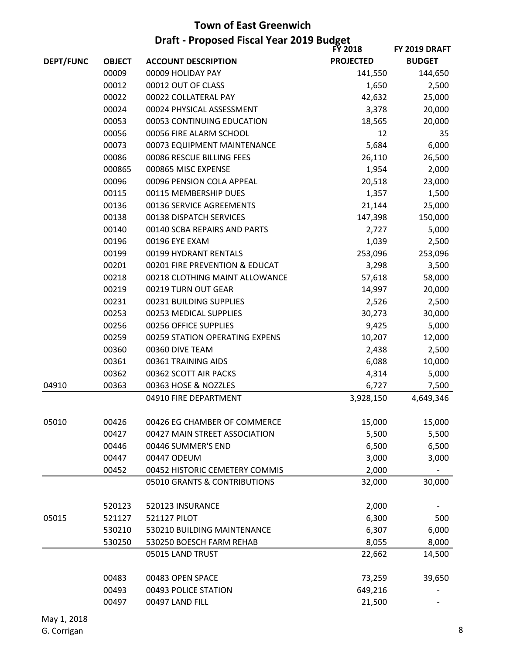|                  | <b>Draft - Proposed Fiscal Year 2019 Budget</b><br><b>FY 2018</b><br>FY 2019 DRAFT |                                |                  |               |  |
|------------------|------------------------------------------------------------------------------------|--------------------------------|------------------|---------------|--|
| <b>DEPT/FUNC</b> | <b>OBJECT</b>                                                                      | <b>ACCOUNT DESCRIPTION</b>     | <b>PROJECTED</b> | <b>BUDGET</b> |  |
|                  | 00009                                                                              | 00009 HOLIDAY PAY              | 141,550          | 144,650       |  |
|                  | 00012                                                                              | 00012 OUT OF CLASS             | 1,650            | 2,500         |  |
|                  | 00022                                                                              | 00022 COLLATERAL PAY           | 42,632           | 25,000        |  |
|                  | 00024                                                                              | 00024 PHYSICAL ASSESSMENT      | 3,378            | 20,000        |  |
|                  | 00053                                                                              | 00053 CONTINUING EDUCATION     | 18,565           | 20,000        |  |
|                  | 00056                                                                              | 00056 FIRE ALARM SCHOOL        | 12               | 35            |  |
|                  | 00073                                                                              | 00073 EQUIPMENT MAINTENANCE    | 5,684            | 6,000         |  |
|                  | 00086                                                                              | 00086 RESCUE BILLING FEES      | 26,110           | 26,500        |  |
|                  | 000865                                                                             | 000865 MISC EXPENSE            | 1,954            | 2,000         |  |
|                  | 00096                                                                              | 00096 PENSION COLA APPEAL      | 20,518           | 23,000        |  |
|                  | 00115                                                                              | 00115 MEMBERSHIP DUES          | 1,357            | 1,500         |  |
|                  | 00136                                                                              | 00136 SERVICE AGREEMENTS       | 21,144           | 25,000        |  |
|                  | 00138                                                                              | 00138 DISPATCH SERVICES        | 147,398          | 150,000       |  |
|                  | 00140                                                                              | 00140 SCBA REPAIRS AND PARTS   | 2,727            | 5,000         |  |
|                  | 00196                                                                              | 00196 EYE EXAM                 | 1,039            | 2,500         |  |
|                  | 00199                                                                              | 00199 HYDRANT RENTALS          | 253,096          | 253,096       |  |
|                  | 00201                                                                              | 00201 FIRE PREVENTION & EDUCAT | 3,298            | 3,500         |  |
|                  | 00218                                                                              | 00218 CLOTHING MAINT ALLOWANCE | 57,618           | 58,000        |  |
|                  | 00219                                                                              | 00219 TURN OUT GEAR            | 14,997           | 20,000        |  |
|                  | 00231                                                                              | 00231 BUILDING SUPPLIES        | 2,526            | 2,500         |  |
|                  | 00253                                                                              | 00253 MEDICAL SUPPLIES         | 30,273           | 30,000        |  |
|                  | 00256                                                                              | 00256 OFFICE SUPPLIES          | 9,425            | 5,000         |  |
|                  | 00259                                                                              | 00259 STATION OPERATING EXPENS | 10,207           | 12,000        |  |
|                  | 00360                                                                              | 00360 DIVE TEAM                | 2,438            | 2,500         |  |
|                  | 00361                                                                              | 00361 TRAINING AIDS            | 6,088            | 10,000        |  |
|                  | 00362                                                                              | 00362 SCOTT AIR PACKS          | 4,314            | 5,000         |  |
| 04910            | 00363                                                                              | 00363 HOSE & NOZZLES           | 6,727            | 7,500         |  |
|                  |                                                                                    | 04910 FIRE DEPARTMENT          | 3,928,150        | 4,649,346     |  |
| 05010            | 00426                                                                              | 00426 EG CHAMBER OF COMMERCE   | 15,000           | 15,000        |  |
|                  | 00427                                                                              | 00427 MAIN STREET ASSOCIATION  | 5,500            | 5,500         |  |
|                  | 00446                                                                              | 00446 SUMMER'S END             | 6,500            | 6,500         |  |
|                  | 00447                                                                              | 00447 ODEUM                    | 3,000            | 3,000         |  |
|                  | 00452                                                                              | 00452 HISTORIC CEMETERY COMMIS | 2,000            |               |  |
|                  |                                                                                    | 05010 GRANTS & CONTRIBUTIONS   | 32,000           | 30,000        |  |
|                  | 520123                                                                             | 520123 INSURANCE               | 2,000            |               |  |
| 05015            | 521127                                                                             | <b>521127 PILOT</b>            | 6,300            | 500           |  |
|                  | 530210                                                                             | 530210 BUILDING MAINTENANCE    | 6,307            | 6,000         |  |
|                  | 530250                                                                             | 530250 BOESCH FARM REHAB       | 8,055            | 8,000         |  |
|                  |                                                                                    | 05015 LAND TRUST               | 22,662           | 14,500        |  |
|                  | 00483                                                                              | 00483 OPEN SPACE               | 73,259           | 39,650        |  |
|                  | 00493                                                                              | 00493 POLICE STATION           | 649,216          |               |  |
|                  | 00497                                                                              | 00497 LAND FILL                | 21,500           |               |  |